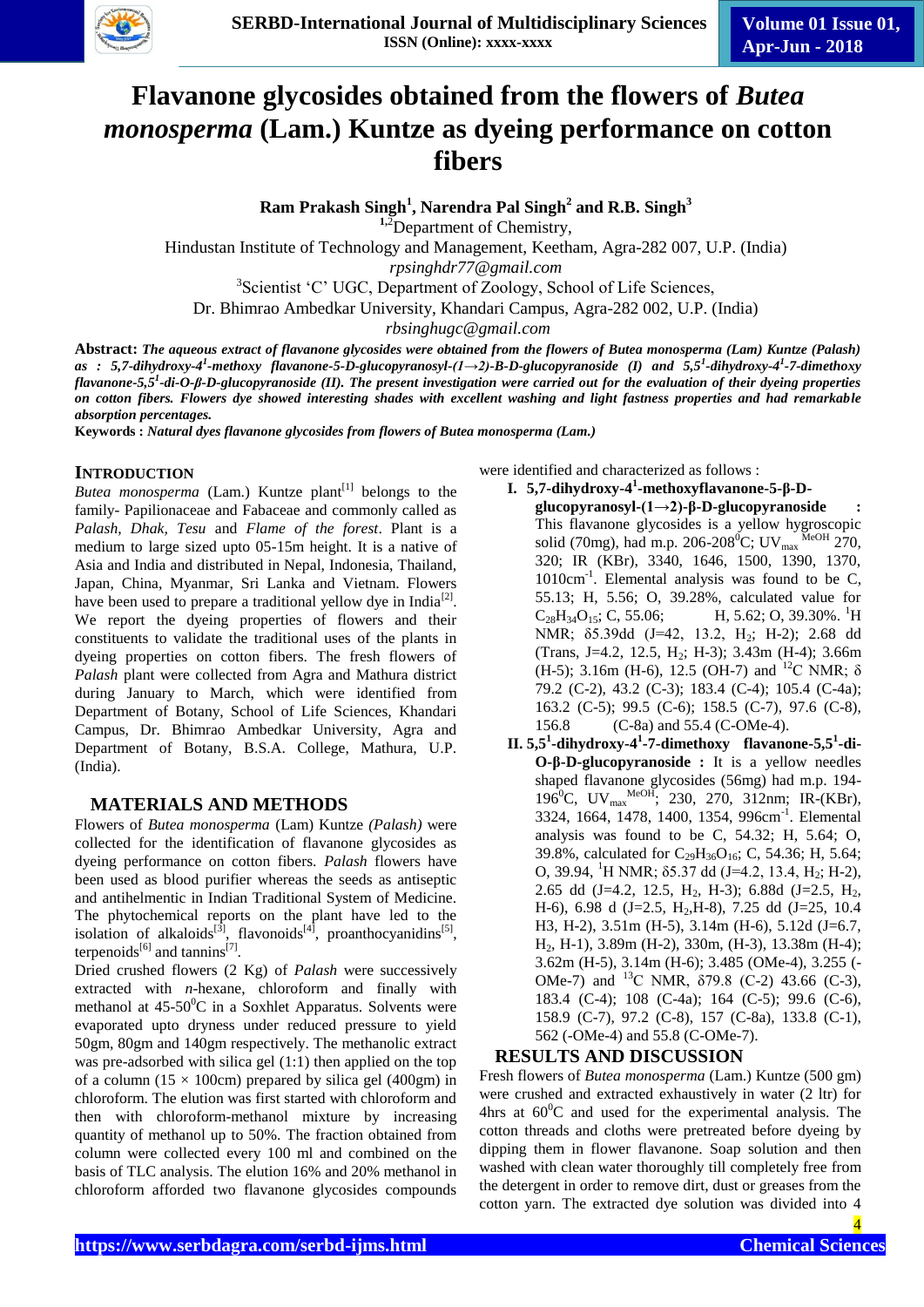

# **Flavanone glycosides obtained from the flowers of** *Butea monosperma* **(Lam.) Kuntze as dyeing performance on cotton fibers**

**Ram Prakash Singh<sup>1</sup> , Narendra Pal Singh<sup>2</sup> and R.B. Singh<sup>3</sup>**

**1,**<sup>2</sup>Department of Chemistry,

Hindustan Institute of Technology and Management, Keetham, Agra-282 007, U.P. (India)

*rpsinghdr77@gmail.com*

<sup>3</sup>Scientist 'C' UGC, Department of Zoology, School of Life Sciences,

Dr. Bhimrao Ambedkar University, Khandari Campus, Agra-282 002, U.P. (India)

*rbsinghugc@gmail.com*

**Abstract:** *The aqueous extract of flavanone glycosides were obtained from the flowers of Butea monosperma (Lam) Kuntze (Palash) as : 5,7-dihydroxy-4 1 -methoxy flavanone-5-D-glucopyranosyl-(1→2)-B-D-glucopyranoside (I) and 5,5<sup>1</sup> -dihydroxy-4 1 -7-dimethoxy flavanone-5,5<sup>1</sup> -di-O-β-D-glucopyranoside (II). The present investigation were carried out for the evaluation of their dyeing properties on cotton fibers. Flowers dye showed interesting shades with excellent washing and light fastness properties and had remarkable absorption percentages.*

**Keywords :** *Natural dyes flavanone glycosides from flowers of Butea monosperma (Lam.)*

#### **INTRODUCTION**

*Butea monosperma* (Lam.) Kuntze plant<sup>[1]</sup> belongs to the family- Papilionaceae and Fabaceae and commonly called as *Palash, Dhak, Tesu* and *Flame of the forest*. Plant is a medium to large sized upto 05-15m height. It is a native of Asia and India and distributed in Nepal, Indonesia, Thailand, Japan, China, Myanmar, Sri Lanka and Vietnam. Flowers have been used to prepare a traditional yellow dye in India<sup>[2]</sup>. We report the dyeing properties of flowers and their constituents to validate the traditional uses of the plants in dyeing properties on cotton fibers. The fresh flowers of *Palash* plant were collected from Agra and Mathura district during January to March, which were identified from Department of Botany, School of Life Sciences, Khandari Campus, Dr. Bhimrao Ambedkar University, Agra and Department of Botany, B.S.A. College, Mathura, U.P. (India).

### **MATERIALS AND METHODS**

Flowers of *Butea monosperma* (Lam) Kuntze *(Palash)* were collected for the identification of flavanone glycosides as dyeing performance on cotton fibers. *Palash* flowers have been used as blood purifier whereas the seeds as antiseptic and antihelmentic in Indian Traditional System of Medicine. The phytochemical reports on the plant have led to the isolation of alkaloids<sup>[3]</sup>, flavonoids<sup>[4]</sup>, proanthocyanidins<sup>[5]</sup>, terpenoids<sup>[6]</sup> and tannins<sup>[7]</sup>.

Dried crushed flowers (2 Kg) of *Palash* were successively extracted with *n*-hexane, chloroform and finally with methanol at  $45-50^{\circ}\text{C}$  in a Soxhlet Apparatus. Solvents were evaporated upto dryness under reduced pressure to yield 50gm, 80gm and 140gm respectively. The methanolic extract was pre-adsorbed with silica gel (1:1) then applied on the top of a column (15  $\times$  100cm) prepared by silica gel (400gm) in chloroform. The elution was first started with chloroform and then with chloroform-methanol mixture by increasing quantity of methanol up to 50%. The fraction obtained from column were collected every 100 ml and combined on the basis of TLC analysis. The elution 16% and 20% methanol in chloroform afforded two flavanone glycosides compounds

were identified and characterized as follows :

- **I. 5,7-dihydroxy-4 1 -methoxyflavanone-5-β-Dglucopyranosyl-(1→2)-β-D-glucopyranoside :** This flavanone glycosides is a yellow hygroscopic solid (70mg), had m.p. 206-208<sup>0</sup>C; UV<sub>max</sub> MeOH 270, 320; IR (KBr), 3340, 1646, 1500, 1390, 1370, 1010cm<sup>-1</sup>. Elemental analysis was found to be C, 55.13; H, 5.56; O, 39.28%, calculated value for  $C_{28}H_{34}O_{15}$ ; C, 55.06; H, 5.62; O, 39.30%. <sup>1</sup>H NMR; δ5.39dd (J=42, 13.2, H2; H-2); 2.68 dd (Trans, J=4.2, 12.5, H<sub>2</sub>; H-3); 3.43m (H-4); 3.66m (H-5); 3.16m (H-6), 12.5 (OH-7) and <sup>12</sup>C NMR;  $\delta$ 79.2 (C-2), 43.2 (C-3); 183.4 (C-4); 105.4 (C-4a); 163.2 (C-5); 99.5 (C-6); 158.5 (C-7), 97.6 (C-8), 156.8 (C-8a) and 55.4 (C-OMe-4).
- **II. 5,5<sup>1</sup> -dihydroxy-4 1 -7-dimethoxy flavanone-5,5<sup>1</sup> -di-O-β-D-glucopyranoside :** It is a yellow needles shaped flavanone glycosides (56mg) had m.p. 194- 196<sup>0</sup>C, UV<sub>max</sub> MeOH; 230, 270, 312nm; IR-(KBr), 3324, 1664, 1478, 1400, 1354, 996cm<sup>-1</sup>. Elemental analysis was found to be C, 54.32; H, 5.64; O, 39.8%, calculated for  $C_{29}H_{36}O_{16}$ ; C, 54.36; H, 5.64; O, 39.94, <sup>1</sup>H NMR; δ5.37 dd (J=4.2, 13.4, H<sub>2</sub>; H-2), 2.65 dd (J=4.2, 12.5, H<sub>2</sub>, H-3); 6.88d (J=2.5, H<sub>2</sub>, H-6), 6.98 d (J=2.5, H<sub>2</sub>, H-8), 7.25 dd (J=25, 10.4) H3, H-2), 3.51m (H-5), 3.14m (H-6), 5.12d (J=6.7, H2, H-1), 3.89m (H-2), 330m, (H-3), 13.38m (H-4); 3.62m (H-5), 3.14m (H-6); 3.485 (OMe-4), 3.255 (- OMe-7) and <sup>13</sup>C NMR,  $\delta$ 79.8 (C-2) 43.66 (C-3), 183.4 (C-4); 108 (C-4a); 164 (C-5); 99.6 (C-6), 158.9 (C-7), 97.2 (C-8), 157 (C-8a), 133.8 (C-1), 562 (-OMe-4) and 55.8 (C-OMe-7).

#### **RESULTS AND DISCUSSION**

Fresh flowers of *Butea monosperma* (Lam.) Kuntze (500 gm) were crushed and extracted exhaustively in water (2 ltr) for 4hrs at  $60^{\circ}$ C and used for the experimental analysis. The cotton threads and cloths were pretreated before dyeing by dipping them in flower flavanone. Soap solution and then washed with clean water thoroughly till completely free from the detergent in order to remove dirt, dust or greases from the cotton yarn. The extracted dye solution was divided into 4

4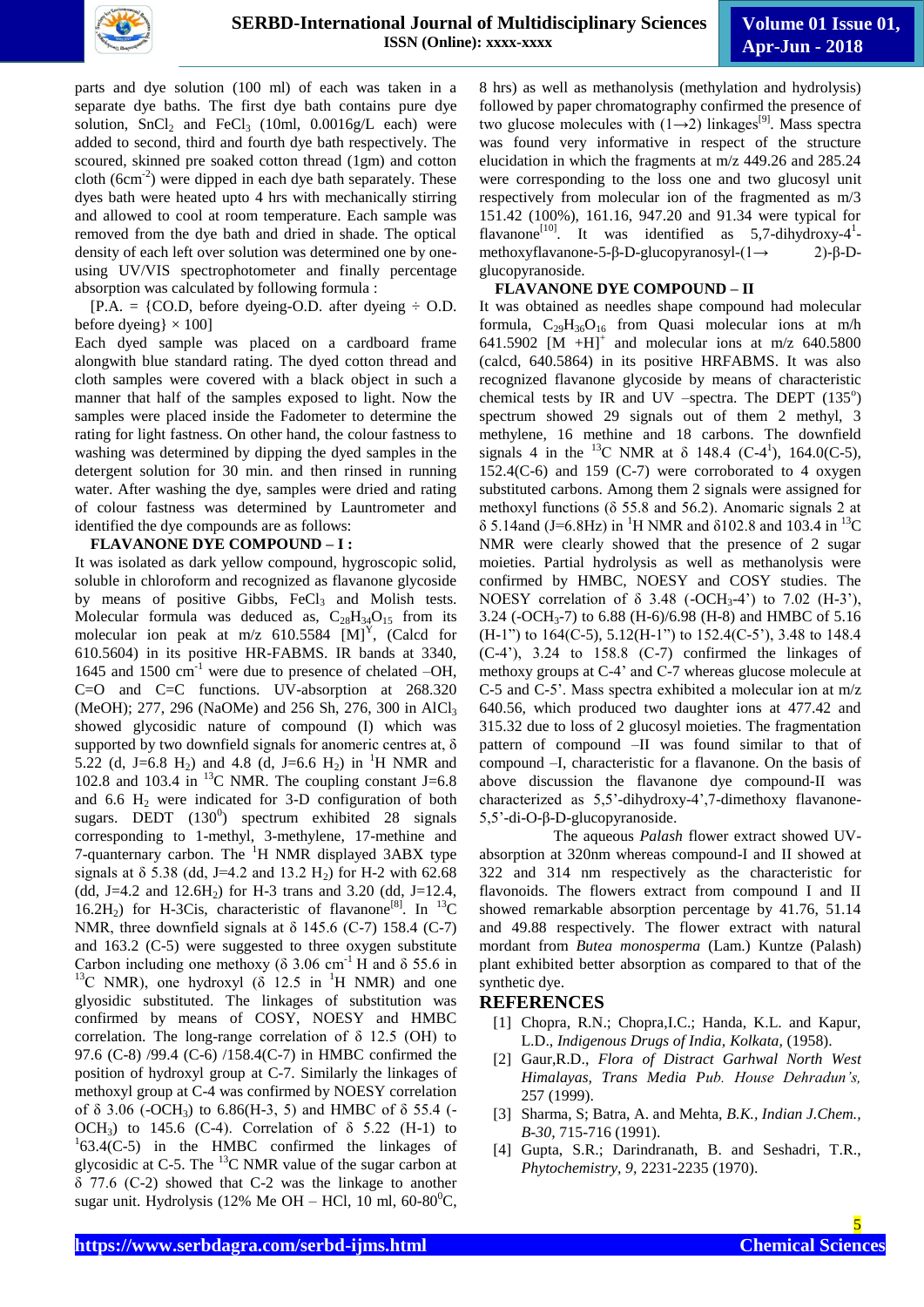

parts and dye solution (100 ml) of each was taken in a separate dye baths. The first dye bath contains pure dye solution,  $SnCl<sub>2</sub>$  and  $FeCl<sub>3</sub>$  (10ml, 0.0016g/L each) were added to second, third and fourth dye bath respectively. The scoured, skinned pre soaked cotton thread (1gm) and cotton cloth  $(6cm<sup>-2</sup>)$  were dipped in each dye bath separately. These dyes bath were heated upto 4 hrs with mechanically stirring and allowed to cool at room temperature. Each sample was removed from the dye bath and dried in shade. The optical density of each left over solution was determined one by oneusing UV/VIS spectrophotometer and finally percentage absorption was calculated by following formula :

 $[P.A. = \{CO.D. \text{ before } \text{dyeing-O.D.} \text{ after } \text{dyeing} \div \text{O.D.} \}$ before dyeing $\} \times 100$ ]

Each dyed sample was placed on a cardboard frame alongwith blue standard rating. The dyed cotton thread and cloth samples were covered with a black object in such a manner that half of the samples exposed to light. Now the samples were placed inside the Fadometer to determine the rating for light fastness. On other hand, the colour fastness to washing was determined by dipping the dyed samples in the detergent solution for 30 min. and then rinsed in running water. After washing the dye, samples were dried and rating of colour fastness was determined by Launtrometer and identified the dye compounds are as follows:

#### **FLAVANONE DYE COMPOUND – I :**

It was isolated as dark yellow compound, hygroscopic solid, soluble in chloroform and recognized as flavanone glycoside by means of positive Gibbs,  $FeCl<sub>3</sub>$  and Molish tests. Molecular formula was deduced as,  $C_{28}H_{34}O_{15}$  from its molecular ion peak at  $m/z$  610.5584 [M]<sup>Y</sup>, (Calcd for 610.5604) in its positive HR-FABMS. IR bands at 3340, 1645 and 1500  $\text{cm}^{-1}$  were due to presence of chelated –OH, C=O and C=C functions. UV-absorption at 268.320 (MeOH); 277, 296 (NaOMe) and 256 Sh, 276, 300 in AlCl<sub>3</sub> showed glycosidic nature of compound (I) which was supported by two downfield signals for anomeric centres at,  $\delta$ 5.22 (d, J=6.8 H<sub>2</sub>) and 4.8 (d, J=6.6 H<sub>2</sub>) in <sup>1</sup>H NMR and 102.8 and 103.4 in  $^{13}$ C NMR. The coupling constant J=6.8 and  $6.6$  H<sub>2</sub> were indicated for  $3-D$  configuration of both sugars. DEDT  $(130^0)$  spectrum exhibited 28 signals corresponding to 1-methyl, 3-methylene, 17-methine and 7-quanternary carbon. The <sup>1</sup>H NMR displayed 3ABX type signals at  $\delta$  5.38 (dd, J=4.2 and 13.2 H<sub>2</sub>) for H-2 with 62.68 (dd, J=4.2 and  $12.6H_2$ ) for H-3 trans and 3.20 (dd, J=12.4, 16.2H<sub>2</sub>) for H-3Cis, characteristic of flavanone<sup>[8]</sup>. In <sup>13</sup>C NMR, three downfield signals at  $\delta$  145.6 (C-7) 158.4 (C-7) and 163.2 (C-5) were suggested to three oxygen substitute Carbon including one methoxy ( $\delta$  3.06 cm<sup>-1</sup> H and  $\delta$  55.6 in <sup>13</sup>C NMR), one hydroxyl ( $\delta$  12.5 in <sup>1</sup>H NMR) and one glyosidic substituted. The linkages of substitution was confirmed by means of COSY, NOESY and HMBC correlation. The long-range correlation of  $\delta$  12.5 (OH) to 97.6 (C-8) /99.4 (C-6) /158.4(C-7) in HMBC confirmed the position of hydroxyl group at C-7. Similarly the linkages of methoxyl group at C-4 was confirmed by NOESY correlation of  $\delta$  3.06 (-OCH<sub>3</sub>) to 6.86(H-3, 5) and HMBC of  $\delta$  55.4 (-OCH<sub>3</sub>) to 145.6 (C-4). Correlation of  $\delta$  5.22 (H-1) to  $163.4(C-5)$  in the HMBC confirmed the linkages of glycosidic at C-5. The  $^{13}$ C NMR value of the sugar carbon at δ 77.6 (C-2) showed that C-2 was the linkage to another sugar unit. Hydrolysis (12% Me OH – HCl, 10 ml, 60-80<sup>°</sup>C,

8 hrs) as well as methanolysis (methylation and hydrolysis) followed by paper chromatography confirmed the presence of two glucose molecules with  $(1\rightarrow 2)$  linkages<sup>[9]</sup>. Mass spectra was found very informative in respect of the structure elucidation in which the fragments at m/z 449.26 and 285.24 were corresponding to the loss one and two glucosyl unit respectively from molecular ion of the fragmented as m/3 151.42 (100%), 161.16, 947.20 and 91.34 were typical for flavanone<sup>[10]</sup>. It was identified as  $5,7$ -dihydroxy-4<sup>1</sup>methoxyflavanone-5-β-D-glucopyranosyl-(1→ 2)-β-Dglucopyranoside.

#### **FLAVANONE DYE COMPOUND – II**

It was obtained as needles shape compound had molecular formula,  $C_{29}H_{36}O_{16}$  from Quasi molecular ions at m/h 641.5902  $[M + H]^+$  and molecular ions at m/z 640.5800 (calcd, 640.5864) in its positive HRFABMS. It was also recognized flavanone glycoside by means of characteristic chemical tests by IR and UV -spectra. The DEPT  $(135^{\circ})$ spectrum showed 29 signals out of them 2 methyl, 3 methylene, 16 methine and 18 carbons. The downfield signals 4 in the <sup>13</sup>C NMR at  $\delta$  148.4 (C-4<sup>1</sup>), 164.0(C-5), 152.4( $C$ -6) and 159 ( $C$ -7) were corroborated to 4 oxygen substituted carbons. Among them 2 signals were assigned for methoxyl functions ( $\delta$  55.8 and 56.2). Anomaric signals 2 at  $\delta$  5.14and (J=6.8Hz) in <sup>1</sup>H NMR and  $\delta$ 102.8 and 103.4 in <sup>13</sup>C NMR were clearly showed that the presence of 2 sugar moieties. Partial hydrolysis as well as methanolysis were confirmed by HMBC, NOESY and COSY studies. The NOESY correlation of  $\delta$  3.48 (-OCH<sub>3</sub>-4') to 7.02 (H-3'), 3.24 (-OCH3-7) to 6.88 (H-6)/6.98 (H-8) and HMBC of 5.16 (H-1") to 164(C-5), 5.12(H-1") to 152.4(C-5'), 3.48 to 148.4 (C-4'), 3.24 to 158.8 (C-7) confirmed the linkages of methoxy groups at C-4' and C-7 whereas glucose molecule at C-5 and C-5'. Mass spectra exhibited a molecular ion at m/z 640.56, which produced two daughter ions at 477.42 and 315.32 due to loss of 2 glucosyl moieties. The fragmentation pattern of compound –II was found similar to that of compound –I, characteristic for a flavanone. On the basis of above discussion the flavanone dye compound-II was characterized as 5,5'-dihydroxy-4',7-dimethoxy flavanone-5,5'-di-O-β-D-glucopyranoside.

 The aqueous *Palash* flower extract showed UVabsorption at 320nm whereas compound-I and II showed at 322 and 314 nm respectively as the characteristic for flavonoids. The flowers extract from compound I and II showed remarkable absorption percentage by 41.76, 51.14 and 49.88 respectively. The flower extract with natural mordant from *Butea monosperma* (Lam.) Kuntze (Palash) plant exhibited better absorption as compared to that of the synthetic dye.

#### **REFERENCES**

- [1] Chopra, R.N.; Chopra, I.C.; Handa, K.L. and Kapur, L.D., *Indigenous Drugs of India, Kolkata,* (1958).
- [2] Gaur,R.D., *Flora of Distract Garhwal North West Himalayas, Trans Media Pub. House Dehradun's,* 257 (1999).
- [3] Sharma, S; Batra, A. and Mehta, *B.K., Indian J.Chem., B-30,* 715-716 (1991).
- [4] Gupta, S.R.; Darindranath, B. and Seshadri, T.R., *Phytochemistry, 9,* 2231-2235 (1970).